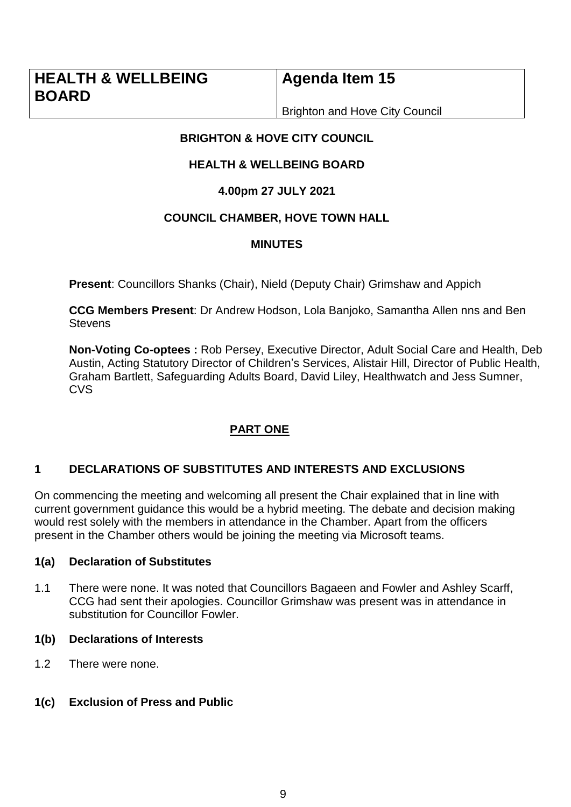**Agenda Item 15**

Brighton and Hove City Council

# **BRIGHTON & HOVE CITY COUNCIL**

# **HEALTH & WELL BEING BOARD**

# **4.00pm 27 JULY 2021**

# **COUNCIL CHAMBER, HOVE TOWN HALL**

# **MINUTES**

**Present**: Councillors Shanks (Chair), Nield (Deputy Chair) Grimshaw and Appich

**CCG Members Present**: Dr Andrew Hodson, Lola Banjoko, Samantha Allen nns and Ben **Stevens** 

**Non-Voting Co-optees :** Rob Persey, Executive Director, Adult Social Care and Health, Deb Austin, Acting Statutory Director of Children's Services, Alistair Hill, Director of Public Health, Graham Bartlett, Safeguarding Adults Board, David Liley, Healthwatch and Jess Sumner, **CVS** 

# **PART ONE**

# **1 DECLARATIONS OF SUBSTITUTES AND INTERESTS AND EXCLUSIONS**

On commencing the meeting and welcoming all present the Chair explained that in line with current government guidance this would be a hybrid meeting. The debate and decision making would rest solely with the members in attendance in the Chamber. Apart from the officers present in the Chamber others would be joining the meeting via Microsoft teams.

## **1(a) Declaration of Substitutes**

1.1 There were none. It was noted that Councillors Bagaeen and Fowler and Ashley Scarff, CCG had sent their apologies. Councillor Grimshaw was present was in attendance in substitution for Councillor Fowler.

## **1(b) Declarations of Interests**

1.2 There were none.

# **1(c) Exclusion of Press and Public**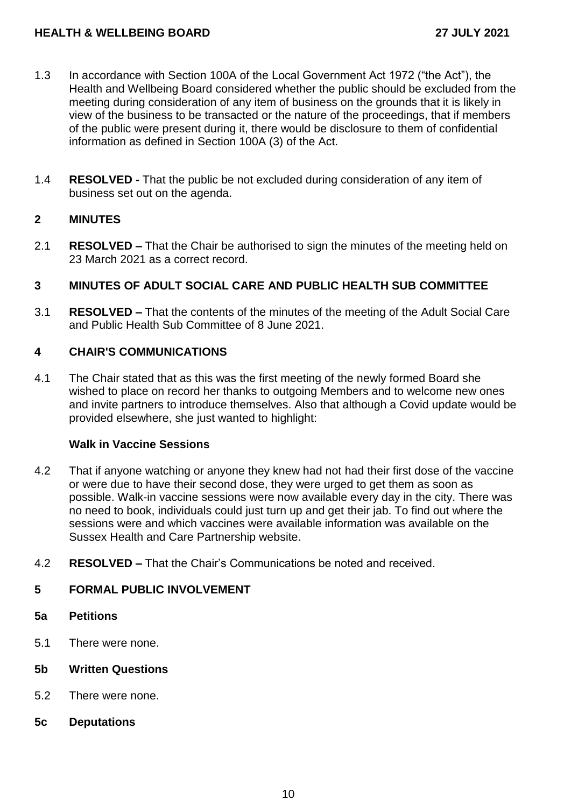- 1.3 In accordance with Section 100A of the Local Government Act 1972 ("the Act"), the Health and Wellbeing Board considered whether the public should be excluded from the meeting during consideration of any item of business on the grounds that it is likely in view of the business to be transacted or the nature of the proceedings, that if members of the public were present during it, there would be disclosure to them of confidential information as defined in Section 100A (3) of the Act.
- 1.4 **RESOLVED -** That the public be not excluded during consideration of any item of business set out on the agenda.

## **2 MINUTES**

2.1 **RESOLVED –** That the Chair be authorised to sign the minutes of the meeting held on 23 March 2021 as a correct record.

## **3 MINUTES OF ADULT SOCIAL CARE AND PUBLIC HEALTH SUB COMMITTEE**

3.1 **RESOLVED –** That the contents of the minutes of the meeting of the Adult Social Care and Public Health Sub Committee of 8 June 2021.

## **4 CHAIR'S COMMUNICATIONS**

4.1 The Chair stated that as this was the first meeting of the newly formed Board she wished to place on record her thanks to outgoing Members and to welcome new ones and invite partners to introduce themselves. Also that although a Covid update would be provided elsewhere, she just wanted to highlight:

#### **Walk in Vaccine Sessions**

- 4.2 That if anyone watching or anyone they knew had not had their first dose of the vaccine or were due to have their second dose, they were urged to get them as soon as possible. Walk-in vaccine sessions were now available every day in the city. There was no need to book, individuals could just turn up and get their jab. To find out where the sessions were and which vaccines were available information was available on the Sussex Health and Care Partnership website.
- 4.2 **RESOLVED –** That the Chair's Communications be noted and received.

## **5 FORMAL PUBLIC INVOLVEMENT**

- **5a Petitions**
- 5.1 There were none.
- **5b Written Questions**
- 5.2 There were none.
- **5c Deputations**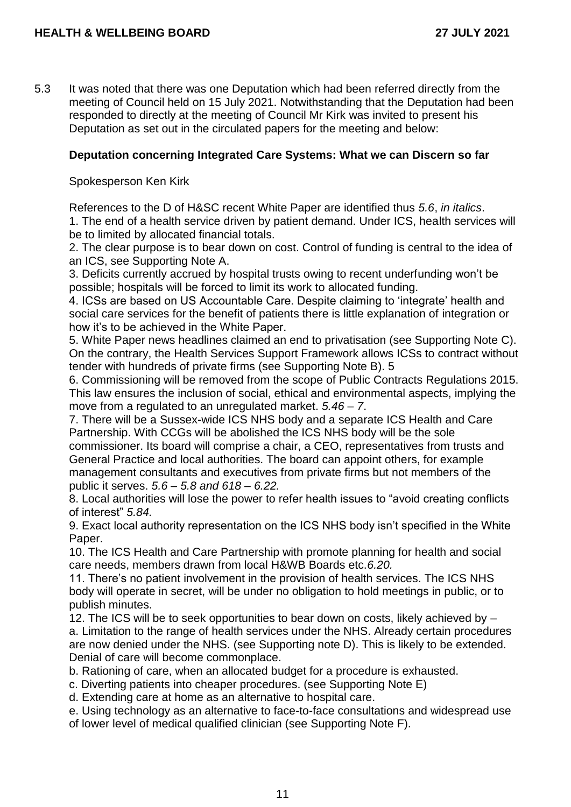5.3 It was noted that there was one Deputation which had been referred directly from the meeting of Council held on 15 July 2021. Notwithstanding that the Deputation had been responded to directly at the meeting of Council Mr Kirk was invited to present his Deputation as set out in the circulated papers for the meeting and below:

### **Deputation concerning Integrated Care Systems: What we can Discern so far**

Spokesperson Ken Kirk

References to the D of H&SC recent White Paper are identified thus *5.6*, *in italics*.

1. The end of a health service driven by patient demand. Under ICS, health services will be to limited by allocated financial totals.

2. The clear purpose is to bear down on cost. Control of funding is central to the idea of an ICS, see Supporting Note A.

3. Deficits currently accrued by hospital trusts owing to recent underfunding won't be possible; hospitals will be forced to limit its work to allocated funding.

4. ICSs are based on US Accountable Care. Despite claiming to 'integrate' health and social care services for the benefit of patients there is little explanation of integration or how it's to be achieved in the White Paper.

5. White Paper news headlines claimed an end to privatisation (see Supporting Note C). On the contrary, the Health Services Support Framework allows ICSs to contract without tender with hundreds of private firms (see Supporting Note B). 5

6. Commissioning will be removed from the scope of Public Contracts Regulations 2015. This law ensures the inclusion of social, ethical and environmental aspects, implying the move from a regulated to an unregulated market. *5.46 – 7*.

7. There will be a Sussex-wide ICS NHS body and a separate ICS Health and Care Partnership. With CCGs will be abolished the ICS NHS body will be the sole commissioner. Its board will comprise a chair, a CEO, representatives from trusts and General Practice and local authorities. The board can appoint others, for example management consultants and executives from private firms but not members of the public it serves. *5.6 – 5.8 and 618 – 6.22.*

8. Local authorities will lose the power to refer health issues to "avoid creating conflicts of interest" *5.84.*

9. Exact local authority representation on the ICS NHS body isn't specified in the White Paper.

10. The ICS Health and Care Partnership with promote planning for health and social care needs, members drawn from local H&WB Boards etc.*6.20.*

11. There's no patient involvement in the provision of health services. The ICS NHS body will operate in secret, will be under no obligation to hold meetings in public, or to publish minutes.

12. The ICS will be to seek opportunities to bear down on costs, likely achieved by – a. Limitation to the range of health services under the NHS. Already certain procedures are now denied under the NHS. (see Supporting note D). This is likely to be extended. Denial of care will become commonplace.

b. Rationing of care, when an allocated budget for a procedure is exhausted.

c. Diverting patients into cheaper procedures. (see Supporting Note E)

d. Extending care at home as an alternative to hospital care.

e. Using technology as an alternative to face-to-face consultations and widespread use of lower level of medical qualified clinician (see Supporting Note F).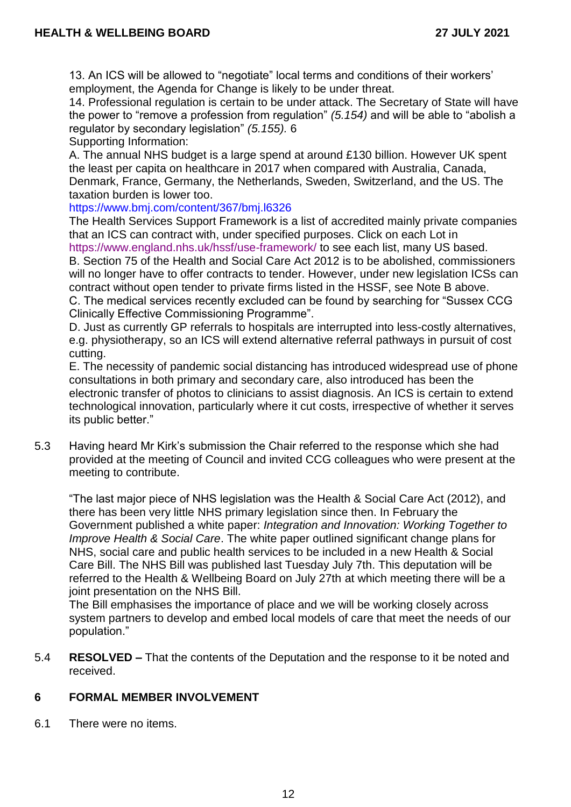13. An ICS will be allowed to "negotiate" local terms and conditions of their workers' employment, the Agenda for Change is likely to be under threat.

14. Professional regulation is certain to be under attack. The Secretary of State will have the power to "remove a profession from regulation" *(5.154)* and will be able to "abolish a regulator by secondary legislation" *(5.155).* 6

Supporting Information:

A. The annual NHS budget is a large spend at around £130 billion. However UK spent the least per capita on healthcare in 2017 when compared with Australia, Canada, Denmark, France, Germany, the Netherlands, Sweden, Switzerland, and the US. The taxation burden is lower too.

https://www.bmj.com/content/367/bmj.l6326

The Health Services Support Framework is a list of accredited mainly private companies that an ICS can contract with, under specified purposes. Click on each Lot in

https://www.england.nhs.uk/hssf/use-framework/ to see each list, many US based. B. Section 75 of the Health and Social Care Act 2012 is to be abolished, commissioners will no longer have to offer contracts to tender. However, under new legislation ICSs can contract without open tender to private firms listed in the HSSF, see Note B above. C. The medical services recently excluded can be found by searching for "Sussex CCG Clinically Effective Commissioning Programme".

D. Just as currently GP referrals to hospitals are interrupted into less-costly alternatives, e.g. physiotherapy, so an ICS will extend alternative referral pathways in pursuit of cost cutting.

E. The necessity of pandemic social distancing has introduced widespread use of phone consultations in both primary and secondary care, also introduced has been the electronic transfer of photos to clinicians to assist diagnosis. An ICS is certain to extend technological innovation, particularly where it cut costs, irrespective of whether it serves its public better."

5.3 Having heard Mr Kirk's submission the Chair referred to the response which she had provided at the meeting of Council and invited CCG colleagues who were present at the meeting to contribute.

"The last major piece of NHS legislation was the Health & Social Care Act (2012), and there has been very little NHS primary legislation since then. In February the Government published a white paper: *Integration and Innovation: Working Together to Improve Health & Social Care*. The white paper outlined significant change plans for NHS, social care and public health services to be included in a new Health & Social Care Bill. The NHS Bill was published last Tuesday July 7th. This deputation will be referred to the Health & Wellbeing Board on July 27th at which meeting there will be a joint presentation on the NHS Bill.

The Bill emphasises the importance of place and we will be working closely across system partners to develop and embed local models of care that meet the needs of our population."

5.4 **RESOLVED –** That the contents of the Deputation and the response to it be noted and received.

# **6 FORMAL MEMBER INVOLVEMENT**

6.1 There were no items.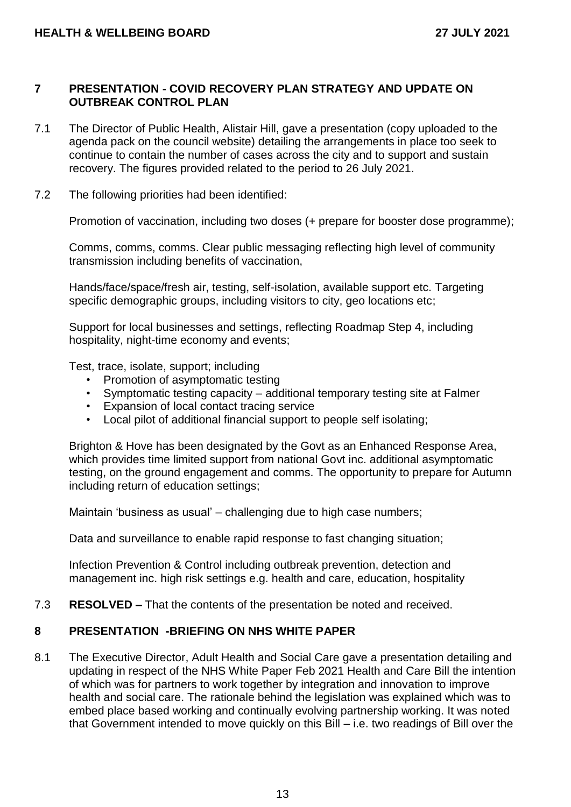## **7 PRESENTATION - COVID RECOVERY PLAN STRATEGY AND UPDATE ON OUTBREAK CONTROL PLAN**

- 7.1 The Director of Public Health, Alistair Hill, gave a presentation (copy uploaded to the agenda pack on the council website) detailing the arrangements in place too seek to continue to contain the number of cases across the city and to support and sustain recovery. The figures provided related to the period to 26 July 2021.
- 7.2 The following priorities had been identified:

Promotion of vaccination, including two doses (+ prepare for booster dose programme);

Comms, comms, comms. Clear public messaging reflecting high level of community transmission including benefits of vaccination,

Hands/face/space/fresh air, testing, self-isolation, available support etc. Targeting specific demographic groups, including visitors to city, geo locations etc;

Support for local businesses and settings, reflecting Roadmap Step 4, including hospitality, night-time economy and events;

Test, trace, isolate, support; including

- Promotion of asymptomatic testing
- Symptomatic testing capacity additional temporary testing site at Falmer
- Expansion of local contact tracing service
- Local pilot of additional financial support to people self isolating;

Brighton & Hove has been designated by the Govt as an Enhanced Response Area, which provides time limited support from national Govt inc. additional asymptomatic testing, on the ground engagement and comms. The opportunity to prepare for Autumn including return of education settings;

Maintain 'business as usual' – challenging due to high case numbers;

Data and surveillance to enable rapid response to fast changing situation;

Infection Prevention & Control including outbreak prevention, detection and management inc. high risk settings e.g. health and care, education, hospitality

7.3 **RESOLVED –** That the contents of the presentation be noted and received.

## **8 PRESENTATION -BRIEFING ON NHS WHITE PAPER**

8.1 The Executive Director, Adult Health and Social Care gave a presentation detailing and updating in respect of the NHS White Paper Feb 2021 Health and Care Bill the intention of which was for partners to work together by integration and innovation to improve health and social care. The rationale behind the legislation was explained which was to embed place based working and continually evolving partnership working. It was noted that Government intended to move quickly on this Bill – i.e. two readings of Bill over the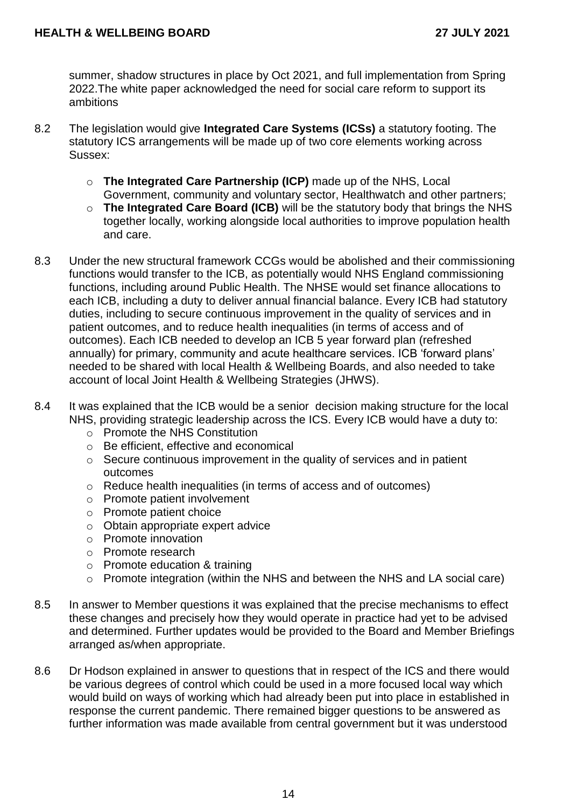summer, shadow structures in place by Oct 2021, and full implementation from Spring 2022.The white paper acknowledged the need for social care reform to support its ambitions

- 8.2 The legislation would give **Integrated Care Systems (ICSs)** a statutory footing. The statutory ICS arrangements will be made up of two core elements working across Sussex:
	- o **The Integrated Care Partnership (ICP)** made up of the NHS, Local Government, community and voluntary sector, Healthwatch and other partners;
	- o **The Integrated Care Board (ICB)** will be the statutory body that brings the NHS together locally, working alongside local authorities to improve population health and care.
- 8.3 Under the new structural framework CCGs would be abolished and their commissioning functions would transfer to the ICB, as potentially would NHS England commissioning functions, including around Public Health. The NHSE would set finance allocations to each ICB, including a duty to deliver annual financial balance. Every ICB had statutory duties, including to secure continuous improvement in the quality of services and in patient outcomes, and to reduce health inequalities (in terms of access and of outcomes). Each ICB needed to develop an ICB 5 year forward plan (refreshed annually) for primary, community and acute healthcare services. ICB 'forward plans' needed to be shared with local Health & Wellbeing Boards, and also needed to take account of local Joint Health & Wellbeing Strategies (JHWS).
- 8.4 It was explained that the ICB would be a senior decision making structure for the local NHS, providing strategic leadership across the ICS. Every ICB would have a duty to:
	- o Promote the NHS Constitution
	- o Be efficient, effective and economical
	- o Secure continuous improvement in the quality of services and in patient outcomes
	- o Reduce health inequalities (in terms of access and of outcomes)
	- o Promote patient involvement
	- o Promote patient choice
	- o Obtain appropriate expert advice
	- o Promote innovation
	- o Promote research
	- o Promote education & training
	- o Promote integration (within the NHS and between the NHS and LA social care)
- 8.5 In answer to Member questions it was explained that the precise mechanisms to effect these changes and precisely how they would operate in practice had yet to be advised and determined. Further updates would be provided to the Board and Member Briefings arranged as/when appropriate.
- 8.6 Dr Hodson explained in answer to questions that in respect of the ICS and there would be various degrees of control which could be used in a more focused local way which would build on ways of working which had already been put into place in established in response the current pandemic. There remained bigger questions to be answered as further information was made available from central government but it was understood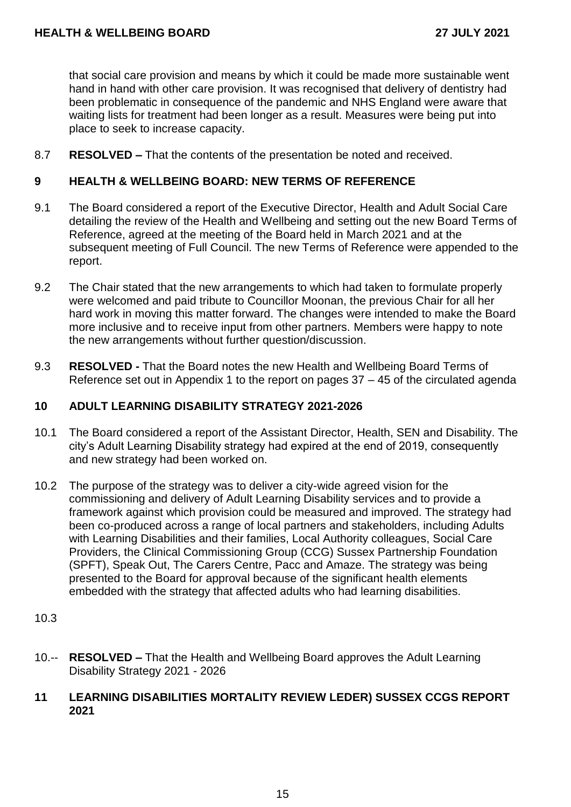that social care provision and means by which it could be made more sustainable went hand in hand with other care provision. It was recognised that delivery of dentistry had been problematic in consequence of the pandemic and NHS England were aware that waiting lists for treatment had been longer as a result. Measures were being put into place to seek to increase capacity.

8.7 **RESOLVED –** That the contents of the presentation be noted and received.

#### **9 HEALTH & WELLBEING BOARD: NEW TERMS OF REFERENCE**

- 9.1 The Board considered a report of the Executive Director, Health and Adult Social Care detailing the review of the Health and Wellbeing and setting out the new Board Terms of Reference, agreed at the meeting of the Board held in March 2021 and at the subsequent meeting of Full Council. The new Terms of Reference were appended to the report.
- 9.2 The Chair stated that the new arrangements to which had taken to formulate properly were welcomed and paid tribute to Councillor Moonan, the previous Chair for all her hard work in moving this matter forward. The changes were intended to make the Board more inclusive and to receive input from other partners. Members were happy to note the new arrangements without further question/discussion.
- 9.3 **RESOLVED -** That the Board notes the new Health and Wellbeing Board Terms of Reference set out in Appendix 1 to the report on pages 37 – 45 of the circulated agenda

## **10 ADULT LEARNING DISABILITY STRATEGY 2021-2026**

- 10.1 The Board considered a report of the Assistant Director, Health, SEN and Disability. The city's Adult Learning Disability strategy had expired at the end of 2019, consequently and new strategy had been worked on.
- 10.2 The purpose of the strategy was to deliver a city-wide agreed vision for the commissioning and delivery of Adult Learning Disability services and to provide a framework against which provision could be measured and improved. The strategy had been co-produced across a range of local partners and stakeholders, including Adults with Learning Disabilities and their families, Local Authority colleagues, Social Care Providers, the Clinical Commissioning Group (CCG) Sussex Partnership Foundation (SPFT), Speak Out, The Carers Centre, Pacc and Amaze. The strategy was being presented to the Board for approval because of the significant health elements embedded with the strategy that affected adults who had learning disabilities.

#### 10.3

10.-- **RESOLVED –** That the Health and Wellbeing Board approves the Adult Learning Disability Strategy 2021 - 2026

#### **11 LEARNING DISABILITIES MORTALITY REVIEW LEDER) SUSSEX CCGS REPORT 2021**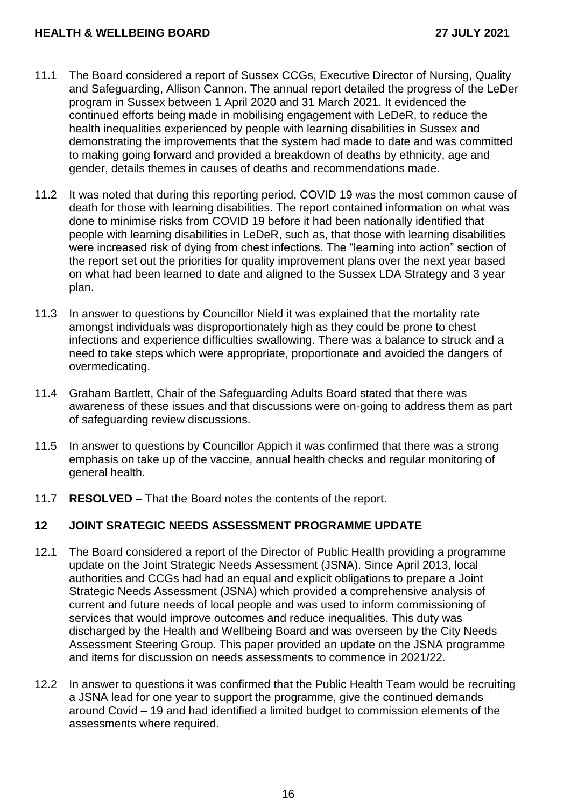- 11.1 The Board considered a report of Sussex CCGs, Executive Director of Nursing, Quality and Safeguarding, Allison Cannon. The annual report detailed the progress of the LeDer program in Sussex between 1 April 2020 and 31 March 2021. It evidenced the continued efforts being made in mobilising engagement with LeDeR, to reduce the health inequalities experienced by people with learning disabilities in Sussex and demonstrating the improvements that the system had made to date and was committed to making going forward and provided a breakdown of deaths by ethnicity, age and gender, details themes in causes of deaths and recommendations made.
- 11.2 It was noted that during this reporting period, COVID 19 was the most common cause of death for those with learning disabilities. The report contained information on what was done to minimise risks from COVID 19 before it had been nationally identified that people with learning disabilities in LeDeR, such as, that those with learning disabilities were increased risk of dying from chest infections. The "learning into action" section of the report set out the priorities for quality improvement plans over the next year based on what had been learned to date and aligned to the Sussex LDA Strategy and 3 year plan.
- 11.3 In answer to questions by Councillor Nield it was explained that the mortality rate amongst individuals was disproportionately high as they could be prone to chest infections and experience difficulties swallowing. There was a balance to struck and a need to take steps which were appropriate, proportionate and avoided the dangers of overmedicating.
- 11.4 Graham Bartlett, Chair of the Safeguarding Adults Board stated that there was awareness of these issues and that discussions were on-going to address them as part of safeguarding review discussions.
- 11.5 In answer to questions by Councillor Appich it was confirmed that there was a strong emphasis on take up of the vaccine, annual health checks and regular monitoring of general health.
- 11.7 **RESOLVED –** That the Board notes the contents of the report.

## **12 JOINT SRATEGIC NEEDS ASSESSMENT PROGRAMME UPDATE**

- 12.1 The Board considered a report of the Director of Public Health providing a programme update on the Joint Strategic Needs Assessment (JSNA). Since April 2013, local authorities and CCGs had had an equal and explicit obligations to prepare a Joint Strategic Needs Assessment (JSNA) which provided a comprehensive analysis of current and future needs of local people and was used to inform commissioning of services that would improve outcomes and reduce inequalities. This duty was discharged by the Health and Wellbeing Board and was overseen by the City Needs Assessment Steering Group. This paper provided an update on the JSNA programme and items for discussion on needs assessments to commence in 2021/22.
- 12.2 In answer to questions it was confirmed that the Public Health Team would be recruiting a JSNA lead for one year to support the programme, give the continued demands around Covid – 19 and had identified a limited budget to commission elements of the assessments where required.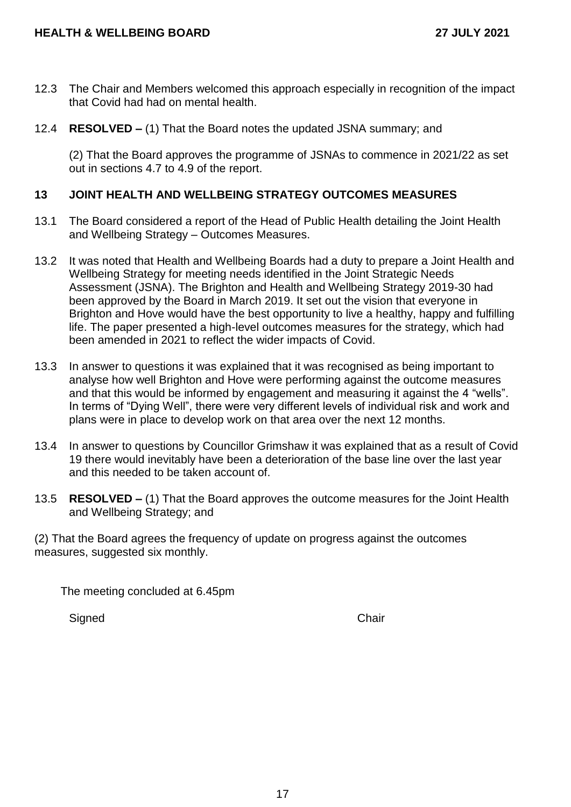- 12.3 The Chair and Members welcomed this approach especially in recognition of the impact that Covid had had on mental health.
- 12.4 **RESOLVED –** (1) That the Board notes the updated JSNA summary; and

(2) That the Board approves the programme of JSNAs to commence in 2021/22 as set out in sections 4.7 to 4.9 of the report.

## **13 JOINT HEALTH AND WELLBEING STRATEGY OUTCOMES MEASURES**

- 13.1 The Board considered a report of the Head of Public Health detailing the Joint Health and Wellbeing Strategy – Outcomes Measures.
- 13.2 It was noted that Health and Wellbeing Boards had a duty to prepare a Joint Health and Wellbeing Strategy for meeting needs identified in the Joint Strategic Needs Assessment (JSNA). The Brighton and Health and Wellbeing Strategy 2019-30 had been approved by the Board in March 2019. It set out the vision that everyone in Brighton and Hove would have the best opportunity to live a healthy, happy and fulfilling life. The paper presented a high-level outcomes measures for the strategy, which had been amended in 2021 to reflect the wider impacts of Covid.
- 13.3 In answer to questions it was explained that it was recognised as being important to analyse how well Brighton and Hove were performing against the outcome measures and that this would be informed by engagement and measuring it against the 4 "wells". In terms of "Dying Well", there were very different levels of individual risk and work and plans were in place to develop work on that area over the next 12 months.
- 13.4 In answer to questions by Councillor Grimshaw it was explained that as a result of Covid 19 there would inevitably have been a deterioration of the base line over the last year and this needed to be taken account of.
- 13.5 **RESOLVED –** (1) That the Board approves the outcome measures for the Joint Health and Wellbeing Strategy; and

(2) That the Board agrees the frequency of update on progress against the outcomes measures, suggested six monthly.

The meeting concluded at 6.45pm

Signed Chair